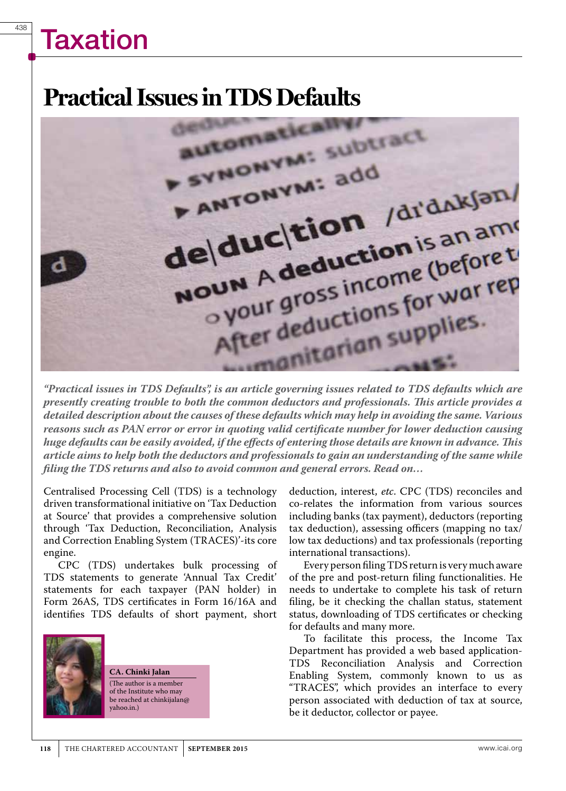# **Taxation**

438

### **Practical Issues in TDS Defaults**



*"Practical issues in TDS Defaults", is an article governing issues related to TDS defaults which are presently creating trouble to both the common deductors and professionals. This article provides a detailed description about the causes of these defaults which may help in avoiding the same. Various reasons such as PAN error or error in quoting valid certificate number for lower deduction causing huge defaults can be easily avoided, if the effects of entering those details are known in advance. This article aims to help both the deductors and professionals to gain an understanding of the same while filing the TDS returns and also to avoid common and general errors. Read on…*

Centralised Processing Cell (TDS) is a technology driven transformational initiative on 'Tax Deduction at Source' that provides a comprehensive solution through 'Tax Deduction, Reconciliation, Analysis and Correction Enabling System (TRACES)'-its core engine.

CPC (TDS) undertakes bulk processing of TDS statements to generate 'Annual Tax Credit' statements for each taxpayer (PAN holder) in Form 26AS, TDS certificates in Form 16/16A and identifies TDS defaults of short payment, short



**CA. Chinki Jalan** (The author is a member of the Institute who may be reached at chinkijalan@ yahoo.in.)

deduction, interest, *etc*. CPC (TDS) reconciles and co-relates the information from various sources including banks (tax payment), deductors (reporting tax deduction), assessing officers (mapping no tax/ low tax deductions) and tax professionals (reporting international transactions).

Every person filing TDS return is very much aware of the pre and post-return filing functionalities. He needs to undertake to complete his task of return filing, be it checking the challan status, statement status, downloading of TDS certificates or checking for defaults and many more.

To facilitate this process, the Income Tax Department has provided a web based application-TDS Reconciliation Analysis and Correction Enabling System, commonly known to us as "TRACES", which provides an interface to every person associated with deduction of tax at source, be it deductor, collector or payee.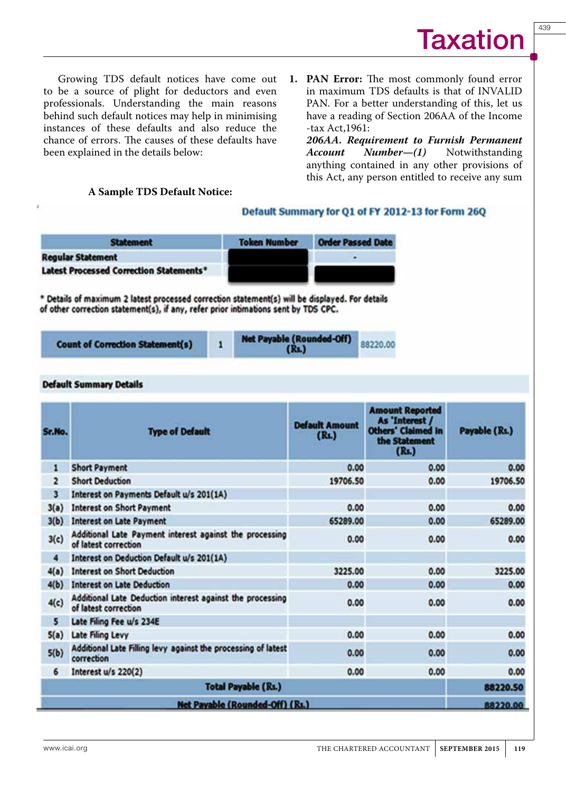439

Growing TDS default notices have come out to be a source of plight for deductors and even professionals. Understanding the main reasons behind such default notices may help in minimising instances of these defaults and also reduce the chance of errors. The causes of these defaults have been explained in the details below:

**1. PAN Error:** The most commonly found error in maximum TDS defaults is that of INVALID PAN. For a better understanding of this, let us have a reading of Section 206AA of the Income -tax Act,1961:

*206AA. Requirement to Furnish Permanent Account Number-(1)* anything contained in any other provisions of this Act, any person entitled to receive any sum

#### **A Sample TDS Default Notice:**

#### Default Summary for Q1 of FY 2012-13 for Form 26Q

88220.00

| <b>Statement</b>                                                                                                                                                                     | <b>Token Number</b> | <b>Order Passed Date</b> |
|--------------------------------------------------------------------------------------------------------------------------------------------------------------------------------------|---------------------|--------------------------|
| <b>Regular Statement</b>                                                                                                                                                             |                     |                          |
| <b>Latest Processed Correction Statements*</b>                                                                                                                                       |                     |                          |
| * Details of maximum 2 latest processed correction statement(s) will be displayed. For details<br>of other correction statement(s), if any, refer prior intimations sent by TDS CPC. |                     |                          |
|                                                                                                                                                                                      |                     |                          |

| <b>Default Summary Details</b> |  |
|--------------------------------|--|

**Count of Correction Statement(s)** 

| Sr.No.                  | <b>Type of Default</b>                                                            | <b>Default Amount</b><br>(R <sub>1</sub> ) | <b>Amount Reported</b><br>As 'Interest /<br><b>Others' Claimed In</b><br>the Statement<br>(Rs.) | Payable (Rs.) |
|-------------------------|-----------------------------------------------------------------------------------|--------------------------------------------|-------------------------------------------------------------------------------------------------|---------------|
| 1                       | <b>Short Payment</b>                                                              | 0.00                                       | 0.00                                                                                            | 0.00          |
| $\overline{\mathbf{z}}$ | <b>Short Deduction</b>                                                            | 19706.50                                   | 0.00                                                                                            | 19706.50      |
| 3                       | Interest on Payments Default u/s 201(1A)                                          |                                            |                                                                                                 |               |
| 3(a)                    | <b>Interest on Short Payment</b>                                                  | 0.00                                       | 0.00                                                                                            | 0.00          |
| 3(b)                    | <b>Interest on Late Payment</b>                                                   | 65289.00                                   | 0.00                                                                                            | 65289.00      |
| 3(c)                    | Additional Late Payment interest against the processing<br>of latest correction   | 0.00                                       | 0.00                                                                                            | 0.00          |
| 4                       | Interest on Deduction Default u/s 201(1A)                                         |                                            |                                                                                                 |               |
| 4(a)                    | <b>Interest on Short Deduction</b>                                                | 3225.00                                    | 0.00                                                                                            | 3225.00       |
| 4(b)                    | <b>Interest on Late Deduction</b>                                                 | 0.00                                       | 0.00                                                                                            | 0.00          |
| 4(c)                    | Additional Late Deduction interest against the processing<br>of latest correction | 0.00                                       | 0.00                                                                                            | 0.00          |
| 5                       | Late Filing Fee u/s 234E                                                          |                                            |                                                                                                 |               |
| 5(a)                    | Late Filing Levy                                                                  | 0.00                                       | 0.00                                                                                            | 0.00          |
| 5(b)                    | Additional Late Filling levy against the processing of latest<br>correction       | 0.00                                       | 0.00                                                                                            | 0.00          |
| 6                       | Interest u/s 220(2)                                                               | 0.00                                       | 0.00                                                                                            | 0.00          |
|                         | <b>Total Payable (Rs.)</b>                                                        |                                            |                                                                                                 | 88220.50      |
|                         | Net Payable (Rounded-Off) (Rs.)                                                   |                                            |                                                                                                 | 88220.00      |

 $(Rs.)$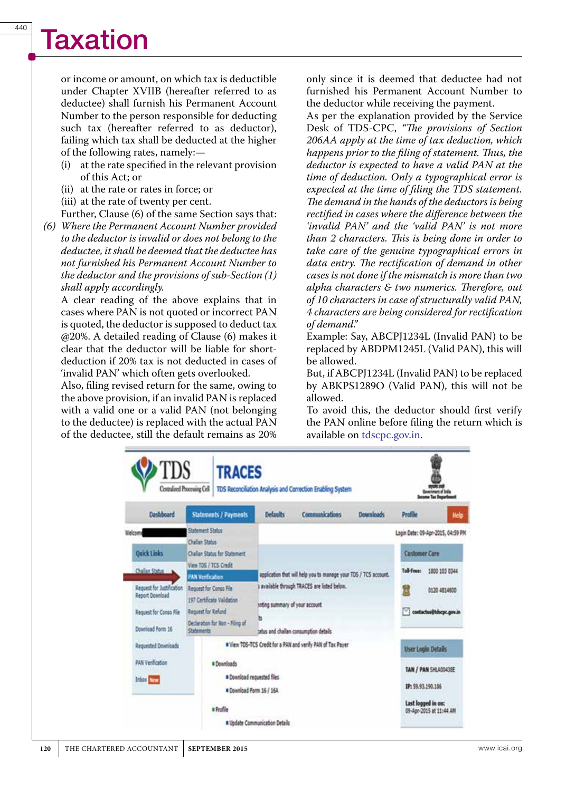## **Taxation**

or income or amount, on which tax is deductible under Chapter XVIIB (hereafter referred to as deductee) shall furnish his Permanent Account Number to the person responsible for deducting such tax (hereafter referred to as deductor), failing which tax shall be deducted at the higher of the following rates, namely:—

- (i) at the rate specified in the relevant provision of this Act; or
- (ii) at the rate or rates in force; or
- (iii) at the rate of twenty per cent.
- Further, Clause (6) of the same Section says that:
- *(6) Where the Permanent Account Number provided to the deductor is invalid or does not belong to the deductee, it shall be deemed that the deductee has not furnished his Permanent Account Number to the deductor and the provisions of sub-Section (1) shall apply accordingly.*

A clear reading of the above explains that in cases where PAN is not quoted or incorrect PAN is quoted, the deductor is supposed to deduct tax @20%. A detailed reading of Clause (6) makes it clear that the deductor will be liable for shortdeduction if 20% tax is not deducted in cases of 'invalid PAN' which often gets overlooked.

Also, filing revised return for the same, owing to the above provision, if an invalid PAN is replaced with a valid one or a valid PAN (not belonging to the deductee) is replaced with the actual PAN of the deductee, still the default remains as 20%

only since it is deemed that deductee had not furnished his Permanent Account Number to the deductor while receiving the payment.

As per the explanation provided by the Service Desk of TDS-CPC, *"The provisions of Section 206AA apply at the time of tax deduction, which happens prior to the filing of statement. Thus, the deductor is expected to have a valid PAN at the time of deduction. Only a typographical error is expected at the time of filing the TDS statement. The demand in the hands of the deductors is being rectified in cases where the difference between the 'invalid PAN' and the 'valid PAN' is not more than 2 characters. This is being done in order to take care of the genuine typographical errors in data entry. The rectification of demand in other cases is not done if the mismatch is more than two alpha characters & two numerics. Therefore, out of 10 characters in case of structurally valid PAN, 4 characters are being considered for rectification of demand."*

Example: Say, ABCPJ1234L (Invalid PAN) to be replaced by ABDPM1245L (Valid PAN), this will be allowed.

But, if ABCPJ1234L (Invalid PAN) to be replaced by ABKPS1289O (Valid PAN), this will not be allowed.

To avoid this, the deductor should first verify the PAN online before filing the return which is available on tdscpc.gov.in.

| <b>TDS</b>                                                            | <b>TRACES</b><br>Centralised Processing Cell                                                             | TDS Reconciliation Analysis and Correction Enabling System                                                                                         |                |                                             | nnen al Inda<br><b>Cas Department</b>         |  |
|-----------------------------------------------------------------------|----------------------------------------------------------------------------------------------------------|----------------------------------------------------------------------------------------------------------------------------------------------------|----------------|---------------------------------------------|-----------------------------------------------|--|
| Dashboard                                                             | Statements / Payments                                                                                    | <b>Defaults</b>                                                                                                                                    | Communications | <b>Downloads</b>                            | Profile<br>Help                               |  |
| Welcome                                                               | <b>Statement Status</b><br><b>Challan Status</b>                                                         |                                                                                                                                                    |                |                                             | Login Date: 09-Apr-2015, 04:59 PM             |  |
| <b>Quick Links</b>                                                    | Challan Status for Statement                                                                             |                                                                                                                                                    |                |                                             | <b>Customer Care</b>                          |  |
| Challan Status<br>Request for Justification<br><b>Report Download</b> | View TOS / TCS Credit<br><b>PAN Verification</b><br>Request for Conso File<br>197 Certificate Validation | application that will help you to manage your TDS / TCS account.<br>s available through TRACES are listed below.<br>inting summary of your account |                | Tall-Free:<br>1800 103 0344<br>0120 4814600 |                                               |  |
| Request for Conso File<br>Download Form 16                            | Request for Refund<br>Declaration for Non - Filing of<br>Statements                                      | ы<br>tatus and challan consumption details                                                                                                         |                |                                             | M<br>contactus@tdscpc.gov.in                  |  |
| <b>Requested Downloads</b>                                            |                                                                                                          | * View TDS-TCS Credit for a PAN and verify PAN of Tax Payer                                                                                        |                |                                             | <b>User Login Details</b>                     |  |
| PAN Verification<br>Inbox <b>Company</b>                              | <b>* Downloads</b>                                                                                       | <b>* Counicad requested files</b><br># Donnload Form 16 / 16A                                                                                      |                |                                             | TAN / PAN SHLA00438E<br>IP: 59.93.190.186     |  |
|                                                                       | a Profile                                                                                                | # Update Communication Details                                                                                                                     |                |                                             | Last logged in on:<br>09-Apr-2015 at 11:44 AM |  |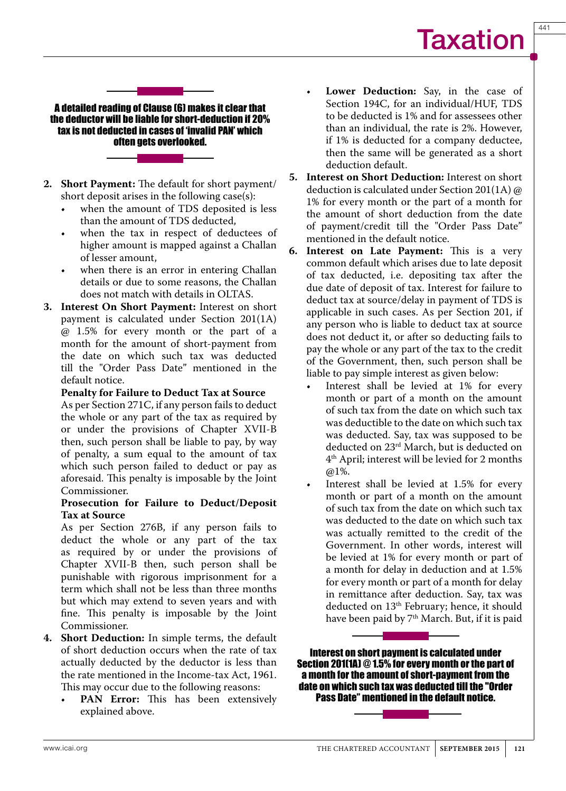441

A detailed reading of Clause (6) makes it clear that the deductor will be liable for short-deduction if 20% tax is not deducted in cases of 'invalid PAN' which often gets overlooked.

- **2. Short Payment:** The default for short payment/ short deposit arises in the following case(s):
	- when the amount of TDS deposited is less than the amount of TDS deducted,
	- when the tax in respect of deductees of higher amount is mapped against a Challan of lesser amount,
	- when there is an error in entering Challan details or due to some reasons, the Challan does not match with details in OLTAS.
- **3. Interest On Short Payment:** Interest on short payment is calculated under Section 201(1A) @ 1.5% for every month or the part of a month for the amount of short-payment from the date on which such tax was deducted till the "Order Pass Date" mentioned in the default notice.

#### **Penalty for Failure to Deduct Tax at Source**

As per Section 271C, if any person fails to deduct the whole or any part of the tax as required by or under the provisions of Chapter XVII-B then, such person shall be liable to pay, by way of penalty, a sum equal to the amount of tax which such person failed to deduct or pay as aforesaid. This penalty is imposable by the Joint Commissioner.

#### **Prosecution for Failure to Deduct/Deposit Tax at Source**

As per Section 276B, if any person fails to deduct the whole or any part of the tax as required by or under the provisions of Chapter XVII-B then, such person shall be punishable with rigorous imprisonment for a term which shall not be less than three months but which may extend to seven years and with fine. This penalty is imposable by the Joint Commissioner.

- **4. Short Deduction:** In simple terms, the default of short deduction occurs when the rate of tax actually deducted by the deductor is less than the rate mentioned in the Income-tax Act, 1961. This may occur due to the following reasons:
	- **PAN Error:** This has been extensively explained above.
- **Lower Deduction:** Say, in the case of Section 194C, for an individual/HUF, TDS to be deducted is 1% and for assessees other than an individual, the rate is 2%. However, if 1% is deducted for a company deductee, then the same will be generated as a short deduction default.
- **5. Interest on Short Deduction:** Interest on short deduction is calculated under Section 201(1A) @ 1% for every month or the part of a month for the amount of short deduction from the date of payment/credit till the "Order Pass Date" mentioned in the default notice.
- **6. Interest on Late Payment:** This is a very common default which arises due to late deposit of tax deducted, i.e. depositing tax after the due date of deposit of tax. Interest for failure to deduct tax at source/delay in payment of TDS is applicable in such cases. As per Section 201, if any person who is liable to deduct tax at source does not deduct it, or after so deducting fails to pay the whole or any part of the tax to the credit of the Government, then, such person shall be liable to pay simple interest as given below:
	- Interest shall be levied at 1% for every month or part of a month on the amount of such tax from the date on which such tax was deductible to the date on which such tax was deducted. Say, tax was supposed to be deducted on 23<sup>rd</sup> March, but is deducted on 4th April; interest will be levied for 2 months @1%.
	- Interest shall be levied at 1.5% for every month or part of a month on the amount of such tax from the date on which such tax was deducted to the date on which such tax was actually remitted to the credit of the Government. In other words, interest will be levied at 1% for every month or part of a month for delay in deduction and at 1.5% for every month or part of a month for delay in remittance after deduction. Say, tax was deducted on 13<sup>th</sup> February; hence, it should have been paid by 7<sup>th</sup> March. But, if it is paid

Interest on short payment is calculated under Section 201(1A) @ 1.5% for every month or the part of a month for the amount of short-payment from the date on which such tax was deducted till the "Order Pass Date" mentioned in the default notice.

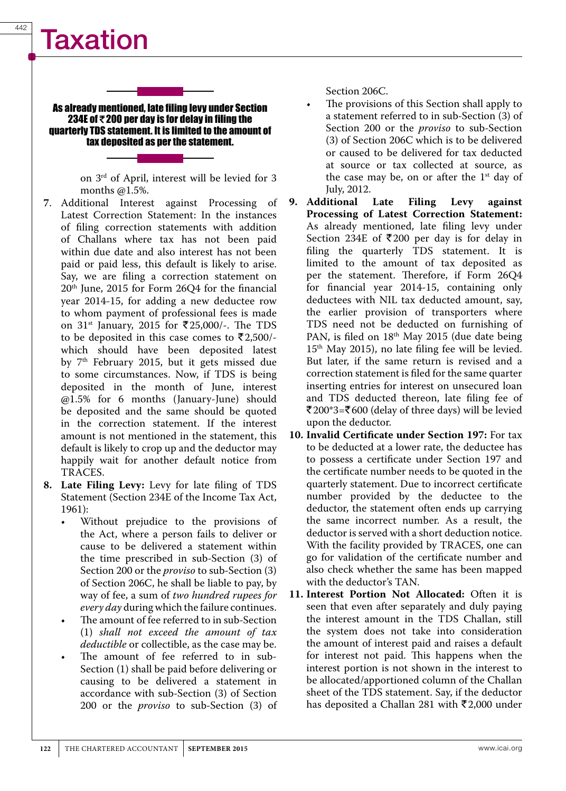# Taxation

#### As already mentioned, late filing levy under Section 234E of **R**200 per day is for delay in filing the quarterly TDS statement. It is limited to the amount of tax deposited as per the statement.

on 3rd of April, interest will be levied for 3 months @1.5%.

- **7**. Additional Interest against Processing of Latest Correction Statement: In the instances of filing correction statements with addition of Challans where tax has not been paid within due date and also interest has not been paid or paid less, this default is likely to arise. Say, we are filing a correction statement on 20th June, 2015 for Form 26Q4 for the financial year 2014-15, for adding a new deductee row to whom payment of professional fees is made on  $31$ <sup>st</sup> January, 2015 for ₹25,000/-. The TDS to be deposited in this case comes to  $\bar{\mathfrak{r}}2,500$ /which should have been deposited latest by 7<sup>th</sup> February 2015, but it gets missed due to some circumstances. Now, if TDS is being deposited in the month of June, interest @1.5% for 6 months (January-June) should be deposited and the same should be quoted in the correction statement. If the interest amount is not mentioned in the statement, this default is likely to crop up and the deductor may happily wait for another default notice from TRACES.
- **8. Late Filing Levy:** Levy for late filing of TDS Statement (Section 234E of the Income Tax Act, 1961):
	- Without prejudice to the provisions of the Act, where a person fails to deliver or cause to be delivered a statement within the time prescribed in sub-Section (3) of Section 200 or the *proviso* to sub-Section (3) of Section 206C, he shall be liable to pay, by way of fee, a sum of *two hundred rupees for every day* during which the failure continues.
	- The amount of fee referred to in sub-Section (1) *shall not exceed the amount of tax deductible* or collectible, as the case may be.
	- The amount of fee referred to in sub-Section (1) shall be paid before delivering or causing to be delivered a statement in accordance with sub-Section (3) of Section 200 or the *proviso* to sub-Section (3) of

Section 206C.

- The provisions of this Section shall apply to a statement referred to in sub-Section (3) of Section 200 or the *proviso* to sub-Section (3) of Section 206C which is to be delivered or caused to be delivered for tax deducted at source or tax collected at source, as the case may be, on or after the  $1<sup>st</sup>$  day of July, 2012.
- **9. Additional Late Filing Levy against Processing of Latest Correction Statement:** As already mentioned, late filing levy under Section 234E of  $\overline{\xi}$  200 per day is for delay in filing the quarterly TDS statement. It is limited to the amount of tax deposited as per the statement. Therefore, if Form 26Q4 for financial year 2014-15, containing only deductees with NIL tax deducted amount, say, the earlier provision of transporters where TDS need not be deducted on furnishing of PAN, is filed on 18<sup>th</sup> May 2015 (due date being 15th May 2015), no late filing fee will be levied. But later, if the same return is revised and a correction statement is filed for the same quarter inserting entries for interest on unsecured loan and TDS deducted thereon, late filing fee of ₹200\*3=₹600 (delay of three days) will be levied upon the deductor.
- **10. Invalid Certificate under Section 197:** For tax to be deducted at a lower rate, the deductee has to possess a certificate under Section 197 and the certificate number needs to be quoted in the quarterly statement. Due to incorrect certificate number provided by the deductee to the deductor, the statement often ends up carrying the same incorrect number. As a result, the deductor is served with a short deduction notice. With the facility provided by TRACES, one can go for validation of the certificate number and also check whether the same has been mapped with the deductor's TAN.
- **11. Interest Portion Not Allocated:** Often it is seen that even after separately and duly paying the interest amount in the TDS Challan, still the system does not take into consideration the amount of interest paid and raises a default for interest not paid. This happens when the interest portion is not shown in the interest to be allocated/apportioned column of the Challan sheet of the TDS statement. Say, if the deductor has deposited a Challan 281 with  $\bar{\mathfrak{r}}$ 2,000 under